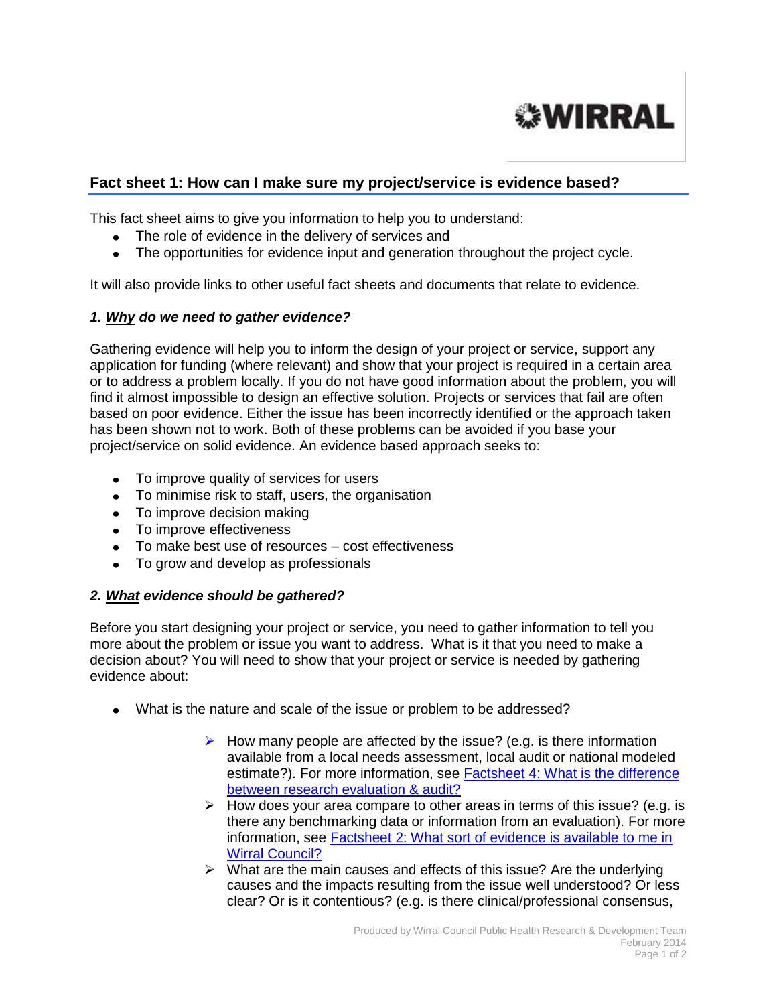# **WIRRAL**

## **Fact sheet 1: How can I make sure my project/service is evidence based?**

This fact sheet aims to give you information to help you to understand:

- The role of evidence in the delivery of services and
- The opportunities for evidence input and generation throughout the project cycle.

It will also provide links to other useful fact sheets and documents that relate to evidence.

### *1. Why do we need to gather evidence?*

Gathering evidence will help you to inform the design of your project or service, support any application for funding (where relevant) and show that your project is required in a certain area or to address a problem locally. If you do not have good information about the problem, you will find it almost impossible to design an effective solution. Projects or services that fail are often based on poor evidence. Either the issue has been incorrectly identified or the approach taken has been shown not to work. Both of these problems can be avoided if you base your project/service on solid evidence. An evidence based approach seeks to:

- To improve quality of services for users
- To minimise risk to staff, users, the organisation
- To improve decision making
- To improve effectiveness
- To make best use of resources cost effectiveness
- To grow and develop as professionals

### *2. What evidence should be gathered?*

Before you start designing your project or service, you need to gather information to tell you more about the problem or issue you want to address. What is it that you need to make a decision about? You will need to show that your project or service is needed by gathering evidence about:

- What is the nature and scale of the issue or problem to be addressed?
	- $\triangleright$  How many people are affected by the issue? (e.g. is there information available from a local needs assessment, local audit or national modeled estimate?). For more information, see [Factsheet 4: What is the difference](http://info.wirral.nhs.uk/intelligencehub/howtofact-sheetsonevidence&research.html)  [between research evaluation & audit?](http://info.wirral.nhs.uk/intelligencehub/howtofact-sheetsonevidence&research.html)
	- $\triangleright$  How does your area compare to other areas in terms of this issue? (e.g. is there any benchmarking data or information from an evaluation). For more information, see [Factsheet 2: What sort of evidence is available to me in](http://info.wirral.nhs.uk/intelligencehub/howtofact-sheetsonevidence&research.html)  [Wirral Council?](http://info.wirral.nhs.uk/intelligencehub/howtofact-sheetsonevidence&research.html)
	- $\triangleright$  What are the main causes and effects of this issue? Are the underlying causes and the impacts resulting from the issue well understood? Or less clear? Or is it contentious? (e.g. is there clinical/professional consensus,